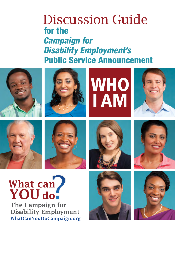## Discussion Guide for the  *Campaign for Disability Employment's* Public Service Announcement

















# What can YOU do.

**The Campaign for Disability Employment** WhatCanYouDoCampaign.org



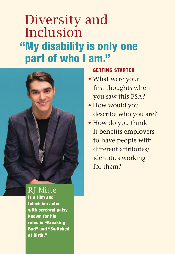## Diversity and Inclusion "My disability is only one part of who I am."



RJ Mitte is a film and television actor with cerebral palsy known for his roles in "Breaking Bad" and "Switched at Birth."

#### GETTING STARTED

- What were your first thoughts when you saw this PSA?
- How would you describe who you are?
- How do you think it benefits employers to have people with different attributes/ identities working for them?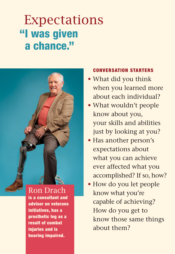## Expectations "I was given a chance."



initiatives, has a prosthetic leg as a result of combat injuries and is hearing impaired.

- What did you think when you learned more about each individual?
- What wouldn't people know about you, your skills and abilities just by looking at you?
- Has another person's expectations about what you can achieve ever affected what you accomplished? If so, how?
- How do you let people know what you're capable of achieving? How do you get to know those same things about them?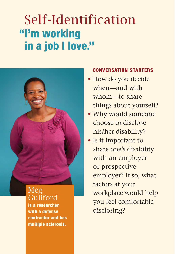## Self-Identification "I'm working in a job I love."



### Meg Guliford

is a researcher with a defense contractor and has multiple sclerosis.

- How do you decide when—and with whom—to share things about yourself?
- Why would someone choose to disclose his/her disability?
- Is it important to share one's disability with an employer or prospective employer? If so, what factors at your workplace would help you feel comfortable disclosing?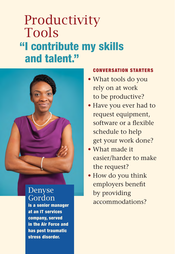## **Productivity** Tools "I contribute my skills and talent."



### Denyse Gordon

is a senior manager at an IT services company, served in the Air Force and has post traumatic stress disorder.

- What tools do you rely on at work to be productive?
- Have you ever had to request equipment, software or a flexible schedule to help get your work done?
- • What made it easier/harder to make the request?
- How do you think employers benefit by providing accommodations?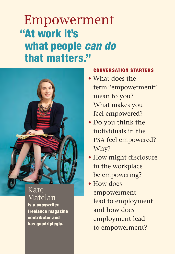## Empowerment "At work it's what people *can do* that matters."



#### Kate Matelan is a copywriter, freelance magazine contributor and has quadriplegia.

- • What does the term "empowerment" mean to you? What makes you feel empowered?
- Do you think the individuals in the PSA feel empowered? Why?
- How might disclosure in the workplace be empowering?
- How does empowerment lead to employment and how does employment lead to empowerment?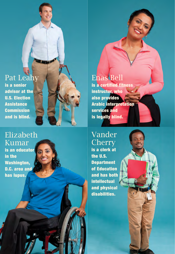## Pat Leahy

is a senior advisor at the U.S. Election **Assistance** Commission and is blind.

### Elizabeth Kumar

is an educator in the Washington, D.C. area and has lupus.

### Enas Bell

is a certified fitness instructor, who also provides Arabic interpretation services and is legally blind.

### Vander **Cherry**

is a clerk at the U.S. **Department** of Education and has both intellectual and physical disabilities.